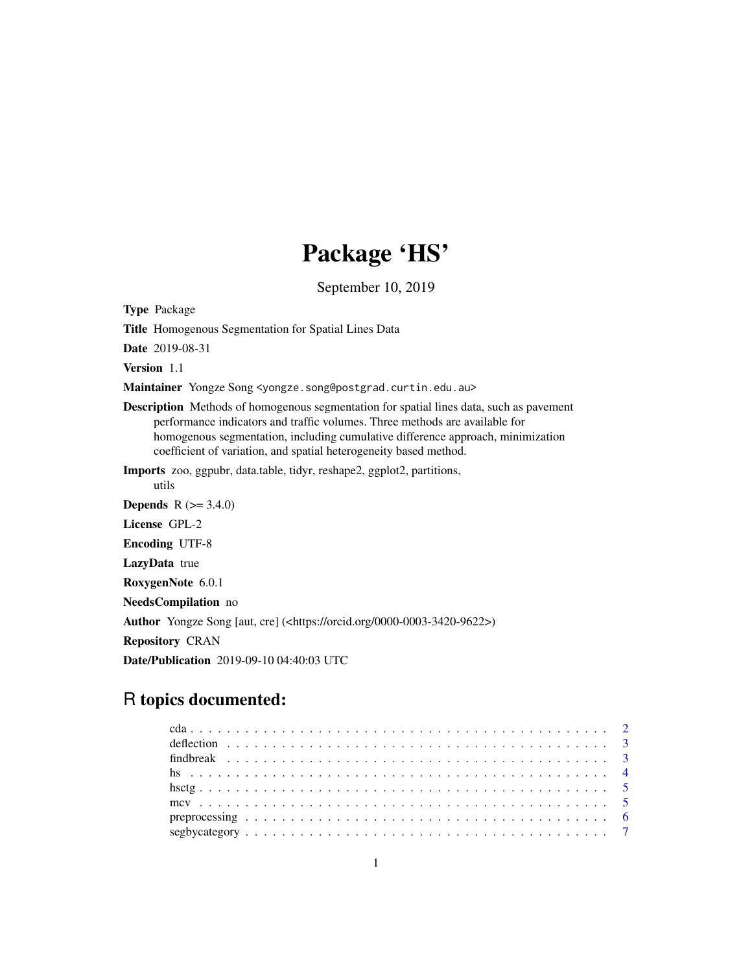# Package 'HS'

September 10, 2019

Type Package

Title Homogenous Segmentation for Spatial Lines Data

Date 2019-08-31

utils

Version 1.1

Maintainer Yongze Song <yongze.song@postgrad.curtin.edu.au>

Description Methods of homogenous segmentation for spatial lines data, such as pavement performance indicators and traffic volumes. Three methods are available for homogenous segmentation, including cumulative difference approach, minimization coefficient of variation, and spatial heterogeneity based method.

Imports zoo, ggpubr, data.table, tidyr, reshape2, ggplot2, partitions,

**Depends** R  $(>= 3.4.0)$ License GPL-2 Encoding UTF-8 LazyData true RoxygenNote 6.0.1 NeedsCompilation no Author Yongze Song [aut, cre] (<https://orcid.org/0000-0003-3420-9622>) Repository CRAN Date/Publication 2019-09-10 04:40:03 UTC

# R topics documented: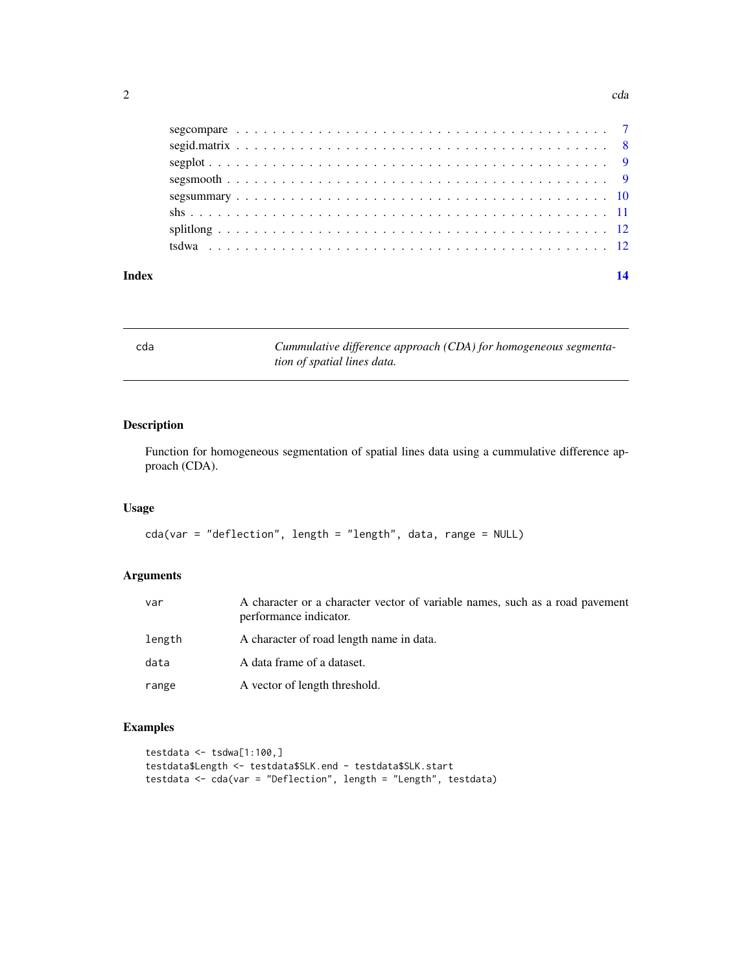<span id="page-1-0"></span>

| Index |  |  |  |  |  |  |  |  |  |  |  |  |  |  |  |  |  |  |  |  |
|-------|--|--|--|--|--|--|--|--|--|--|--|--|--|--|--|--|--|--|--|--|
|       |  |  |  |  |  |  |  |  |  |  |  |  |  |  |  |  |  |  |  |  |
|       |  |  |  |  |  |  |  |  |  |  |  |  |  |  |  |  |  |  |  |  |
|       |  |  |  |  |  |  |  |  |  |  |  |  |  |  |  |  |  |  |  |  |
|       |  |  |  |  |  |  |  |  |  |  |  |  |  |  |  |  |  |  |  |  |
|       |  |  |  |  |  |  |  |  |  |  |  |  |  |  |  |  |  |  |  |  |
|       |  |  |  |  |  |  |  |  |  |  |  |  |  |  |  |  |  |  |  |  |
|       |  |  |  |  |  |  |  |  |  |  |  |  |  |  |  |  |  |  |  |  |
|       |  |  |  |  |  |  |  |  |  |  |  |  |  |  |  |  |  |  |  |  |

cda *Cummulative difference approach (CDA) for homogeneous segmentation of spatial lines data.*

# Description

Function for homogeneous segmentation of spatial lines data using a cummulative difference approach (CDA).

#### Usage

```
cda(var = "deflection", length = "length", data, range = NULL)
```
# Arguments

| var    | A character or a character vector of variable names, such as a road pavement<br>performance indicator. |
|--------|--------------------------------------------------------------------------------------------------------|
| length | A character of road length name in data.                                                               |
| data   | A data frame of a dataset.                                                                             |
| range  | A vector of length threshold.                                                                          |

```
testdata \leq tsdwa[1:100,]
testdata$Length <- testdata$SLK.end - testdata$SLK.start
testdata <- cda(var = "Deflection", length = "Length", testdata)
```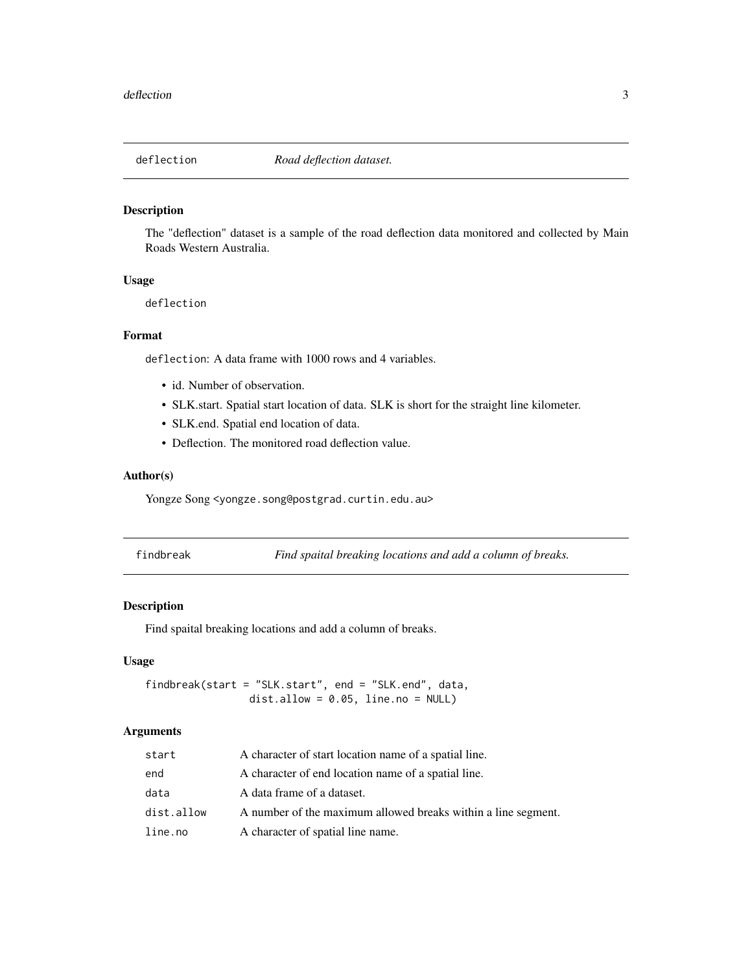<span id="page-2-0"></span>

The "deflection" dataset is a sample of the road deflection data monitored and collected by Main Roads Western Australia.

### Usage

deflection

## Format

deflection: A data frame with 1000 rows and 4 variables.

- id. Number of observation.
- SLK.start. Spatial start location of data. SLK is short for the straight line kilometer.
- SLK.end. Spatial end location of data.
- Deflection. The monitored road deflection value.

#### Author(s)

Yongze Song <yongze.song@postgrad.curtin.edu.au>

|  | findbreal |
|--|-----------|
|  |           |

findbreak *Find spaital breaking locations and add a column of breaks.*

#### Description

Find spaital breaking locations and add a column of breaks.

#### Usage

findbreak(start = "SLK.start", end = "SLK.end", data, dist.allow =  $0.05$ , line.no = NULL)

#### Arguments

| start      | A character of start location name of a spatial line.         |
|------------|---------------------------------------------------------------|
| end        | A character of end location name of a spatial line.           |
| data       | A data frame of a dataset.                                    |
| dist.allow | A number of the maximum allowed breaks within a line segment. |
| line.no    | A character of spatial line name.                             |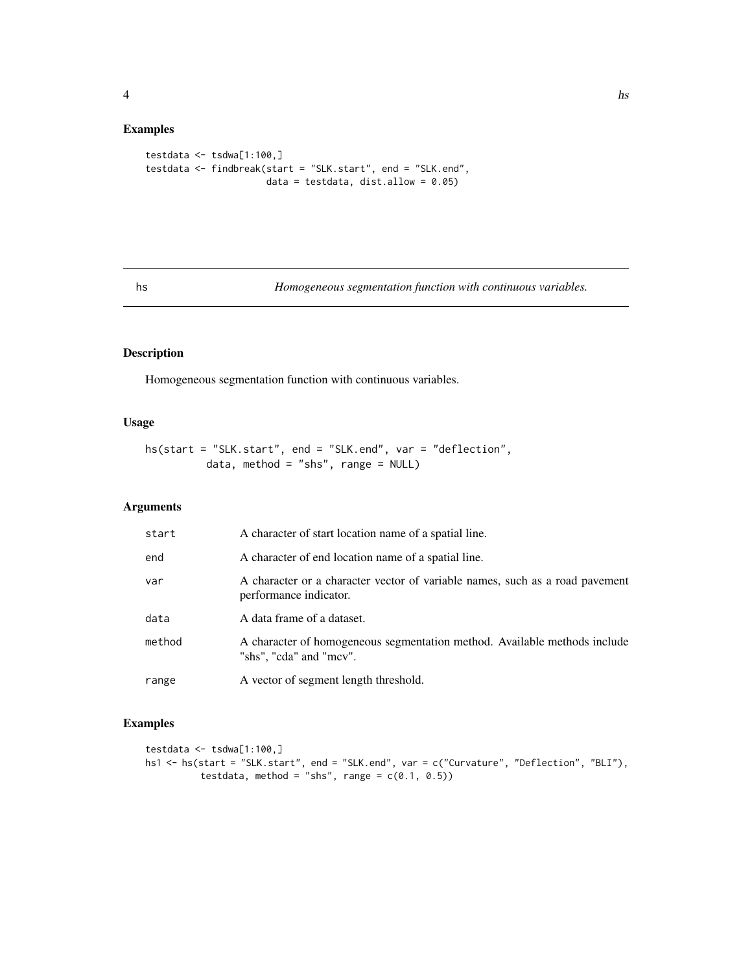### <span id="page-3-0"></span>Examples

```
testdata \leq tsdwa[1:100,]
testdata <- findbreak(start = "SLK.start", end = "SLK.end",
                      data = testdata, dist.allow = 0.05)
```
hs *Homogeneous segmentation function with continuous variables.*

# Description

Homogeneous segmentation function with continuous variables.

# Usage

hs(start = "SLK.start", end = "SLK.end", var = "deflection", data, method = "shs", range =  $NULL$ )

# Arguments

| start  | A character of start location name of a spatial line.                                                  |
|--------|--------------------------------------------------------------------------------------------------------|
| end    | A character of end location name of a spatial line.                                                    |
| var    | A character or a character vector of variable names, such as a road pavement<br>performance indicator. |
| data   | A data frame of a dataset.                                                                             |
| method | A character of homogeneous segmentation method. Available methods include<br>"shs", "cda" and "mcv".   |
| range  | A vector of segment length threshold.                                                                  |

```
testdata <- tsdwa[1:100,]
hs1 <- hs(start = "SLK.start", end = "SLK.end", var = c("Curvature", "Deflection", "BLI"),
          testdata, method = "shs", range = c(0.1, 0.5))
```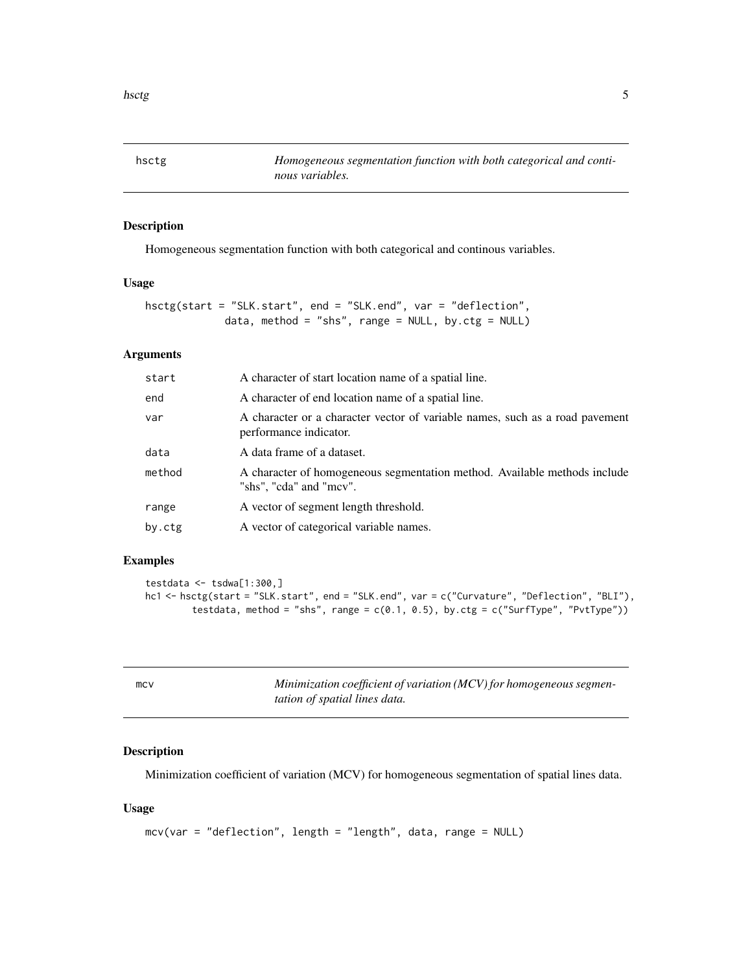<span id="page-4-0"></span>

Homogeneous segmentation function with both categorical and continous variables.

#### Usage

```
hsctg(start = "SLK.start", end = "SLK.end", var = "deflection",
             data, method = "shs", range = NULL, by.ctg = NULL)
```
# Arguments

| start  | A character of start location name of a spatial line.                                                  |
|--------|--------------------------------------------------------------------------------------------------------|
| end    | A character of end location name of a spatial line.                                                    |
| var    | A character or a character vector of variable names, such as a road pavement<br>performance indicator. |
| data   | A data frame of a dataset.                                                                             |
| method | A character of homogeneous segmentation method. Available methods include<br>"shs", "cda" and "mcv".   |
| range  | A vector of segment length threshold.                                                                  |
| by.ctg | A vector of categorical variable names.                                                                |

#### Examples

```
testdata \leq tsdwa[1:300,]
hc1 <- hsctg(start = "SLK.start", end = "SLK.end", var = c("Curvature", "Deflection", "BLI"),
        testdata, method = "shs", range = c(0.1, 0.5), by.ctg = c("Surffype", "PutType"))
```

| mcv | Minimization coefficient of variation (MCV) for homogeneous segmen- |
|-----|---------------------------------------------------------------------|
|     | <i>tation of spatial lines data.</i>                                |

# Description

Minimization coefficient of variation (MCV) for homogeneous segmentation of spatial lines data.

#### Usage

```
mcv(var = "deflection", length = "length", data, range = NULL)
```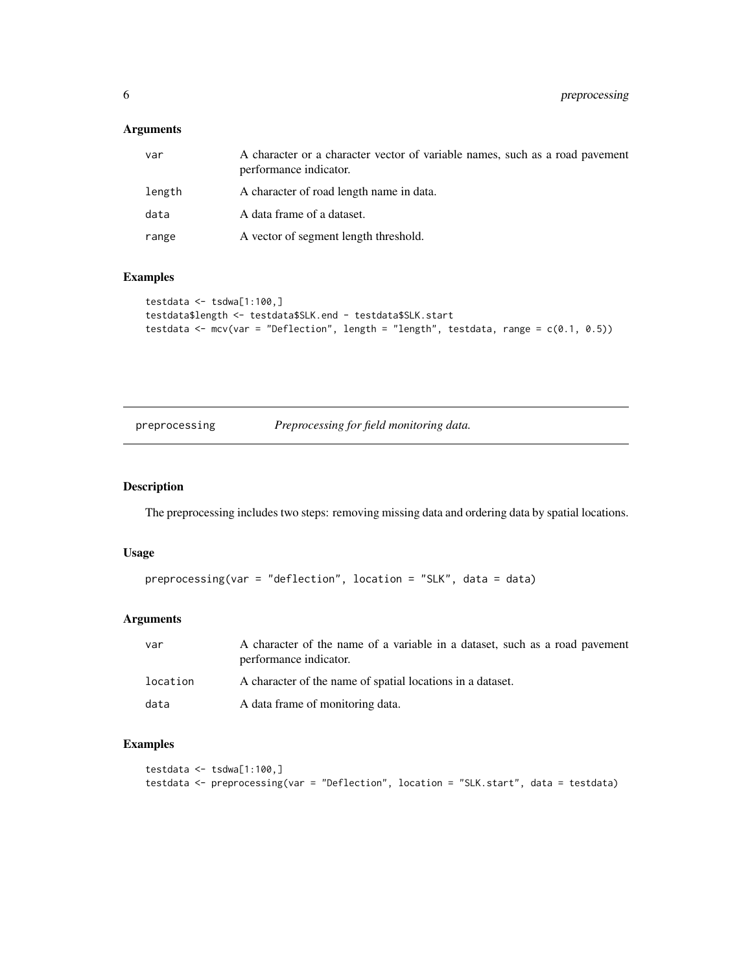### <span id="page-5-0"></span>Arguments

| var    | A character or a character vector of variable names, such as a road pavement<br>performance indicator. |
|--------|--------------------------------------------------------------------------------------------------------|
| length | A character of road length name in data.                                                               |
| data   | A data frame of a dataset.                                                                             |
| range  | A vector of segment length threshold.                                                                  |

# Examples

```
testdata \leq tsdwa[1:100,]
testdata$length <- testdata$SLK.end - testdata$SLK.start
testdata <- mcv(var = "Deflection", length = "length", testdata, range = c(0.1, 0.5))
```
preprocessing *Preprocessing for field monitoring data.*

# Description

The preprocessing includes two steps: removing missing data and ordering data by spatial locations.

#### Usage

```
preprocessing(var = "deflection", location = "SLK", data = data)
```
#### Arguments

| var      | A character of the name of a variable in a dataset, such as a road pavement<br>performance indicator. |
|----------|-------------------------------------------------------------------------------------------------------|
| location | A character of the name of spatial locations in a dataset.                                            |
| data     | A data frame of monitoring data.                                                                      |

```
testdata <- tsdwa[1:100,]
testdata <- preprocessing(var = "Deflection", location = "SLK.start", data = testdata)
```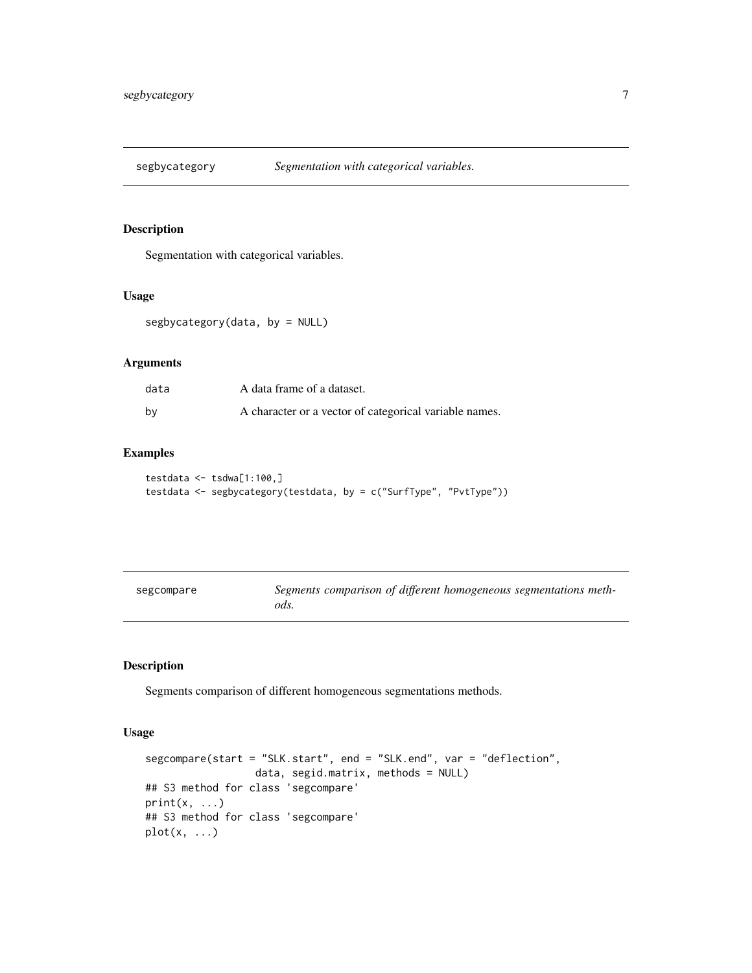<span id="page-6-0"></span>

Segmentation with categorical variables.

#### Usage

segbycategory(data, by = NULL)

#### Arguments

| data | A data frame of a dataset.                             |
|------|--------------------------------------------------------|
| bv   | A character or a vector of categorical variable names. |

# Examples

```
testdata <- tsdwa[1:100,]
testdata <- segbycategory(testdata, by = c("SurfType", "PvtType"))
```

| segcompare | Segments comparison of different homogeneous segmentations meth- |  |
|------------|------------------------------------------------------------------|--|
|            | ods.                                                             |  |

#### Description

Segments comparison of different homogeneous segmentations methods.

# Usage

```
segcompare(start = "SLK.start", end = "SLK.end", var = "deflection",
                  data, segid.matrix, methods = NULL)
## S3 method for class 'segcompare'
print(x, \ldots)## S3 method for class 'segcompare'
plot(x, \ldots)
```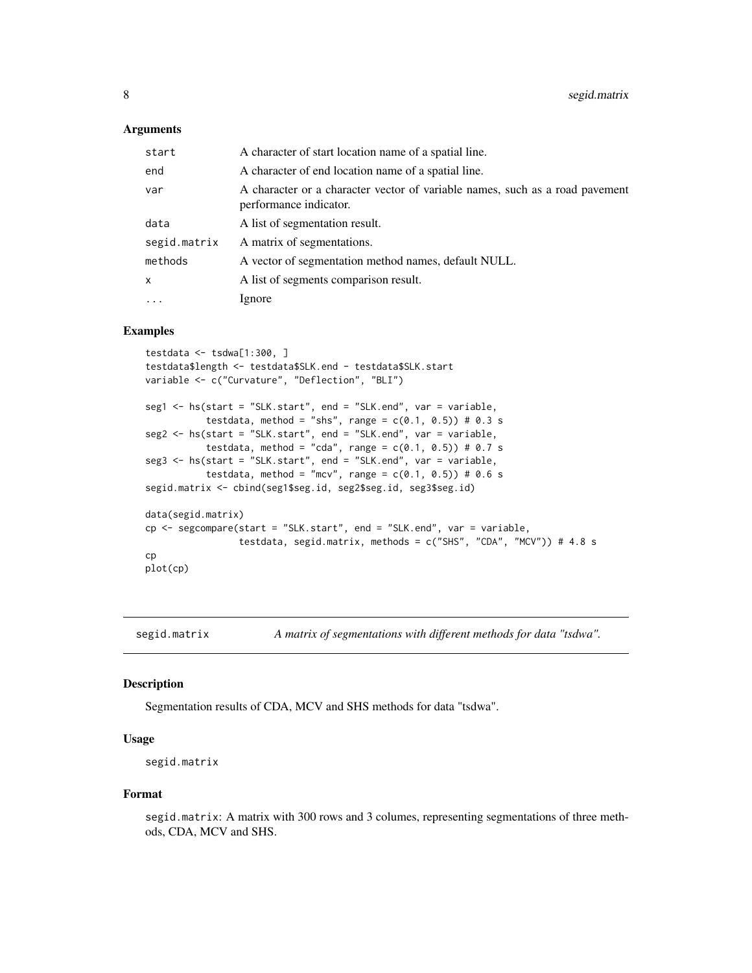#### <span id="page-7-0"></span>Arguments

| start        | A character of start location name of a spatial line.                                                  |
|--------------|--------------------------------------------------------------------------------------------------------|
| end          | A character of end location name of a spatial line.                                                    |
| var          | A character or a character vector of variable names, such as a road pavement<br>performance indicator. |
| data         | A list of segmentation result.                                                                         |
| segid.matrix | A matrix of segmentations.                                                                             |
| methods      | A vector of segmentation method names, default NULL.                                                   |
| x            | A list of segments comparison result.                                                                  |
| $\ddots$     | Ignore                                                                                                 |

# Examples

```
testdata \leq tsdwa[1:300, ]
testdata$length <- testdata$SLK.end - testdata$SLK.start
variable <- c("Curvature", "Deflection", "BLI")
seg1 <- hs(start = "SLK.start", end = "SLK.end", var = variable,
           testdata, method = "shs", range = c(0.1, 0.5)) # 0.3 s
seg2 <- hs(start = "SLK.start", end = "SLK.end", var = variable,
           testdata, method = "cda", range = c(0.1, 0.5)) # 0.7 s
seg3 <- hs(start = "SLK.start", end = "SLK.end", var = variable,
           testdata, method = "mcv", range = c(0.1, 0.5)) # 0.6 s
segid.matrix <- cbind(seg1$seg.id, seg2$seg.id, seg3$seg.id)
data(segid.matrix)
cp <- segcompare(start = "SLK.start", end = "SLK.end", var = variable,
                 testdata, segid.matrix, methods = c("SHS", "CDA", "MCV")) # 4.8 scp
plot(cp)
```
segid.matrix *A matrix of segmentations with different methods for data "tsdwa".*

#### Description

Segmentation results of CDA, MCV and SHS methods for data "tsdwa".

#### Usage

segid.matrix

#### Format

segid.matrix: A matrix with 300 rows and 3 columes, representing segmentations of three methods, CDA, MCV and SHS.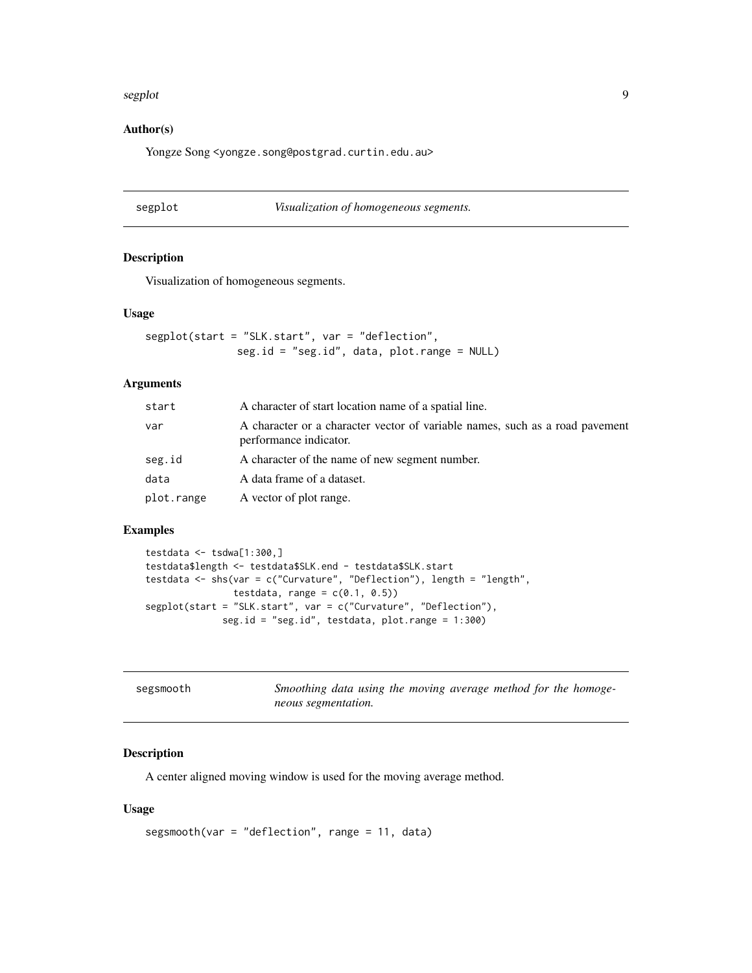#### <span id="page-8-0"></span>segplot that the sequence of the sequence of the sequence of the sequence of the sequence of the sequence of the sequence of the sequence of the sequence of the sequence of the sequence of the sequence of the sequence of t

### Author(s)

Yongze Song <yongze.song@postgrad.curtin.edu.au>

| segplot | Visualization of homogeneous segments. |
|---------|----------------------------------------|
|---------|----------------------------------------|

#### Description

Visualization of homogeneous segments.

#### Usage

segplot(start = "SLK.start", var = "deflection", seg.id = "seg.id", data, plot.range = NULL)

#### Arguments

| start      | A character of start location name of a spatial line.                                                  |
|------------|--------------------------------------------------------------------------------------------------------|
| var        | A character or a character vector of variable names, such as a road pavement<br>performance indicator. |
| seg.id     | A character of the name of new segment number.                                                         |
| data       | A data frame of a dataset.                                                                             |
| plot.range | A vector of plot range.                                                                                |

#### Examples

```
testdata <- tsdwa[1:300,]
testdata$length <- testdata$SLK.end - testdata$SLK.start
testdata <- shs(var = c("Curvature", "Deflection"), length = "length",
               testdata, range = c(0.1, 0.5))
segplot(start = "SLK.start", var = c("Curvature", "Deflection"),
             seg.id = "seg.id", testdata, plot.range = 1:300)
```

| segsmooth | Smoothing data using the moving average method for the homoge- |
|-----------|----------------------------------------------------------------|
|           | neous segmentation.                                            |

# Description

A center aligned moving window is used for the moving average method.

#### Usage

```
segsmooth(var = "deflection", range = 11, data)
```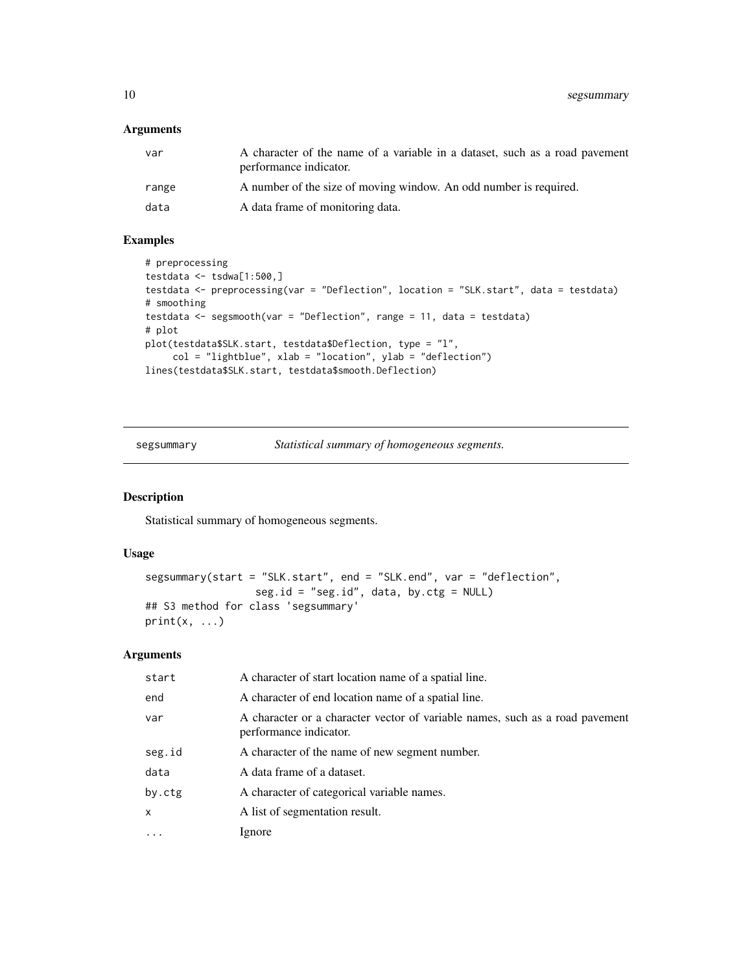# <span id="page-9-0"></span>Arguments

| var   | A character of the name of a variable in a dataset, such as a road pavement<br>performance indicator. |
|-------|-------------------------------------------------------------------------------------------------------|
| range | A number of the size of moving window. An odd number is required.                                     |
| data  | A data frame of monitoring data.                                                                      |

# Examples

```
# preprocessing
testdata <- tsdwa[1:500,]
testdata <- preprocessing(var = "Deflection", location = "SLK.start", data = testdata)
# smoothing
testdata <- segsmooth(var = "Deflection", range = 11, data = testdata)
# plot
plot(testdata$SLK.start, testdata$Deflection, type = "l",
     col = "lightblue", xlab = "location", ylab = "deflection")
lines(testdata$SLK.start, testdata$smooth.Deflection)
```
segsummary *Statistical summary of homogeneous segments.*

## Description

Statistical summary of homogeneous segments.

#### Usage

```
segsummary(start = "SLK.start", end = "SLK.end", var = "deflection",
                  seg.id = "seg.id", data, by.ctg = NULL)
## S3 method for class 'segsummary'
print(x, \ldots)
```
#### Arguments

| start        | A character of start location name of a spatial line.                                                  |
|--------------|--------------------------------------------------------------------------------------------------------|
| end          | A character of end location name of a spatial line.                                                    |
| var          | A character or a character vector of variable names, such as a road pavement<br>performance indicator. |
| seg.id       | A character of the name of new segment number.                                                         |
| data         | A data frame of a dataset.                                                                             |
| by.ctg       | A character of categorical variable names.                                                             |
| $\mathsf{x}$ | A list of segmentation result.                                                                         |
|              | Ignore                                                                                                 |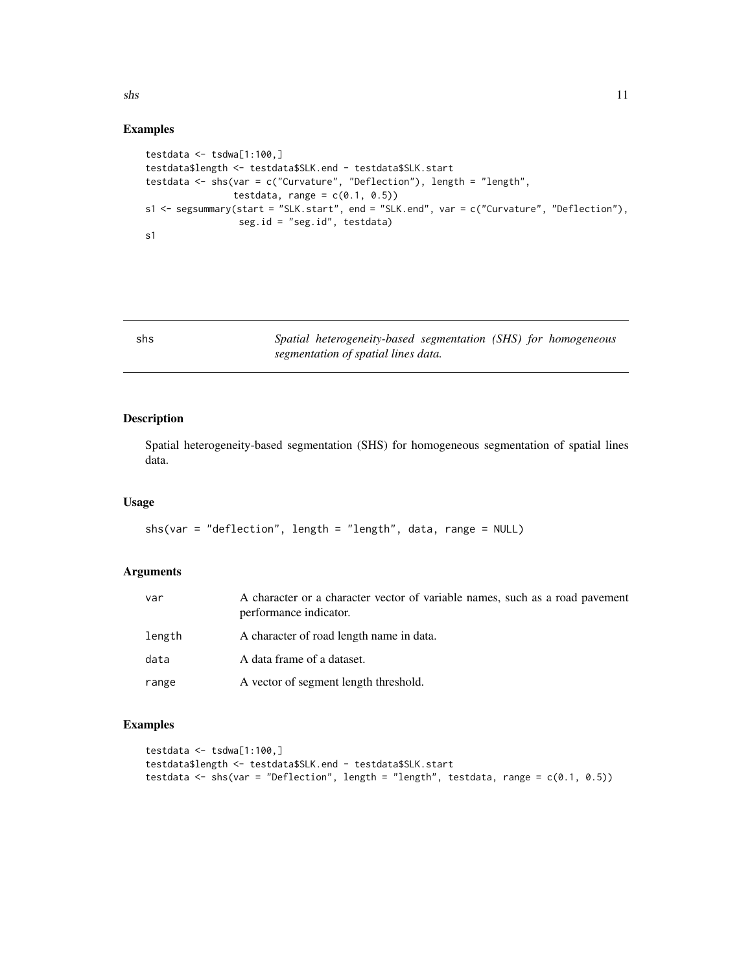<span id="page-10-0"></span> $\sinh(1)$ 

#### Examples

```
testdata <- tsdwa[1:100,]
testdata$length <- testdata$SLK.end - testdata$SLK.start
testdata <- shs(var = c("Curvature", "Deflection"), length = "length",
                testdata, range = c(0.1, 0.5))
s1 <- segsummary(start = "SLK.start", end = "SLK.end", var = c("Curvature", "Deflection"),
                 seg.id = "seg.id", testdata)
s1
```
shs *Spatial heterogeneity-based segmentation (SHS) for homogeneous segmentation of spatial lines data.*

## Description

Spatial heterogeneity-based segmentation (SHS) for homogeneous segmentation of spatial lines data.

#### Usage

```
shs(var = "deflection", length = "length", data, range = NULL)
```
## Arguments

| var    | A character or a character vector of variable names, such as a road pavement<br>performance indicator. |
|--------|--------------------------------------------------------------------------------------------------------|
| length | A character of road length name in data.                                                               |
| data   | A data frame of a dataset.                                                                             |
| range  | A vector of segment length threshold.                                                                  |

```
testdata \leq tsdwa[1:100,]
testdata$length <- testdata$SLK.end - testdata$SLK.start
testdata <- shs(var = "Deflection", length = "length", testdata, range = c(0.1, 0.5))
```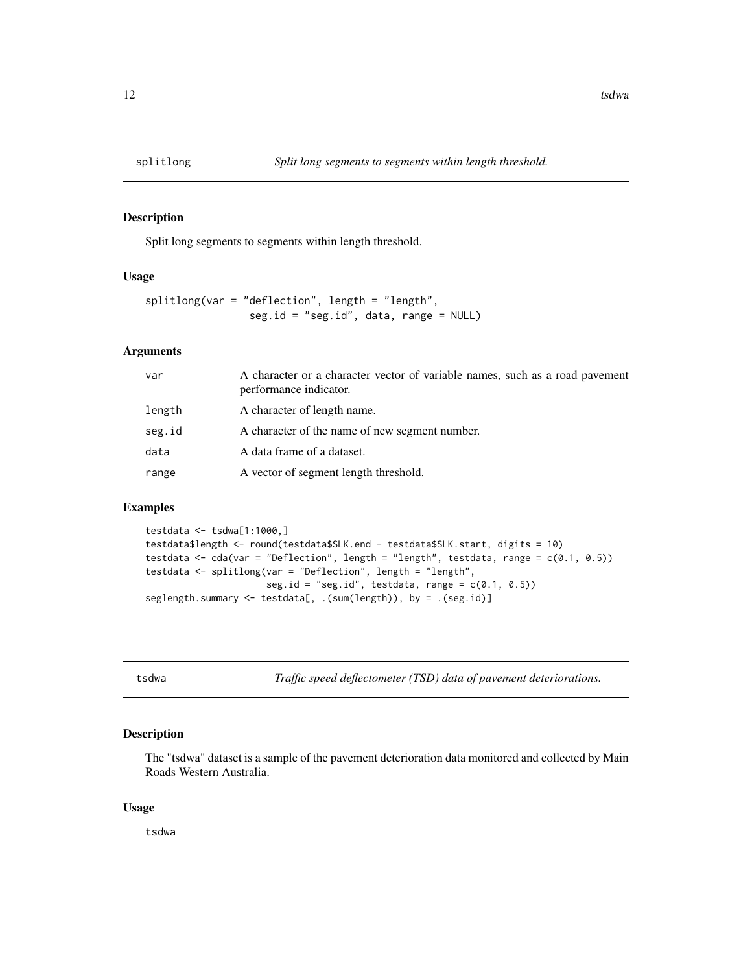<span id="page-11-0"></span>

Split long segments to segments within length threshold.

#### Usage

```
splitlong(var = "deflection", length = "length",
                seg.id = "seg.id", data, range = NULL)
```
## Arguments

| var    | A character or a character vector of variable names, such as a road pavement<br>performance indicator. |
|--------|--------------------------------------------------------------------------------------------------------|
| length | A character of length name.                                                                            |
| seg.id | A character of the name of new segment number.                                                         |
| data   | A data frame of a dataset.                                                                             |
| range  | A vector of segment length threshold.                                                                  |
|        |                                                                                                        |

#### Examples

```
testdata <- tsdwa[1:1000,]
testdata$length <- round(testdata$SLK.end - testdata$SLK.start, digits = 10)
testdata <- cda(var = "Deflection", length = "length", testdata, range = c(0.1, 0.5))
testdata <- splitlong(var = "Deflection", length = "length",
                      seg.id = "seg.id", testdata, range = c(0.1, 0.5))seglength.summary <- testdata[, .(sum(length)), by = .(seg.id)]
```
tsdwa *Traffic speed deflectometer (TSD) data of pavement deteriorations.*

#### Description

The "tsdwa" dataset is a sample of the pavement deterioration data monitored and collected by Main Roads Western Australia.

#### Usage

tsdwa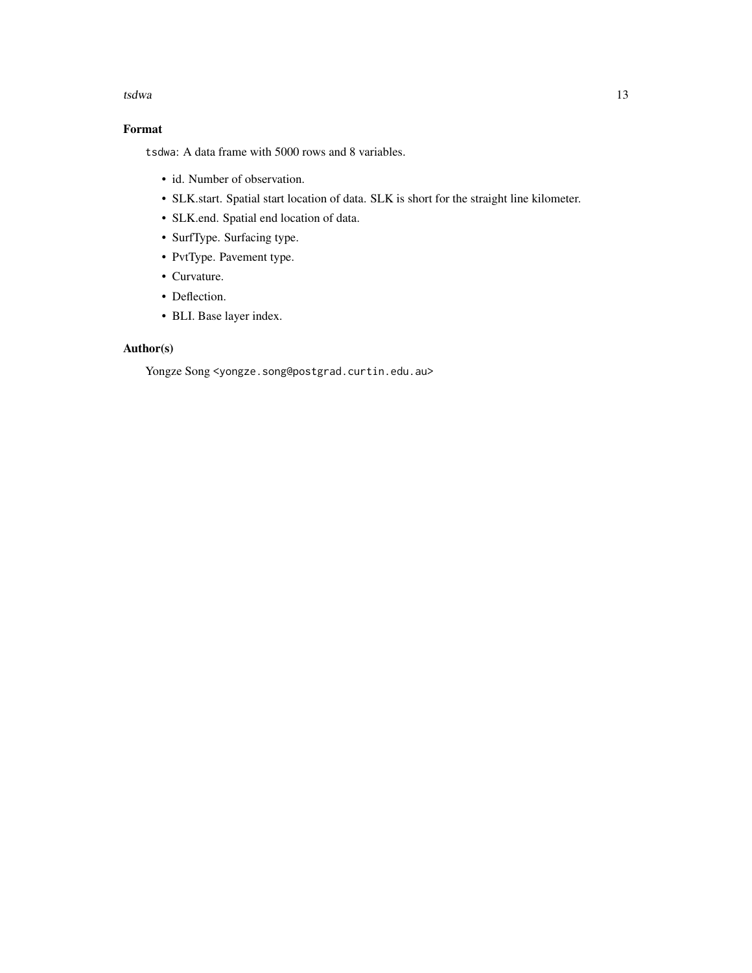#### tsdwa 13

# Format

tsdwa: A data frame with 5000 rows and 8 variables.

- id. Number of observation.
- SLK.start. Spatial start location of data. SLK is short for the straight line kilometer.
- SLK.end. Spatial end location of data.
- SurfType. Surfacing type.
- PvtType. Pavement type.
- Curvature.
- Deflection.
- BLI. Base layer index.

# Author(s)

Yongze Song <yongze.song@postgrad.curtin.edu.au>